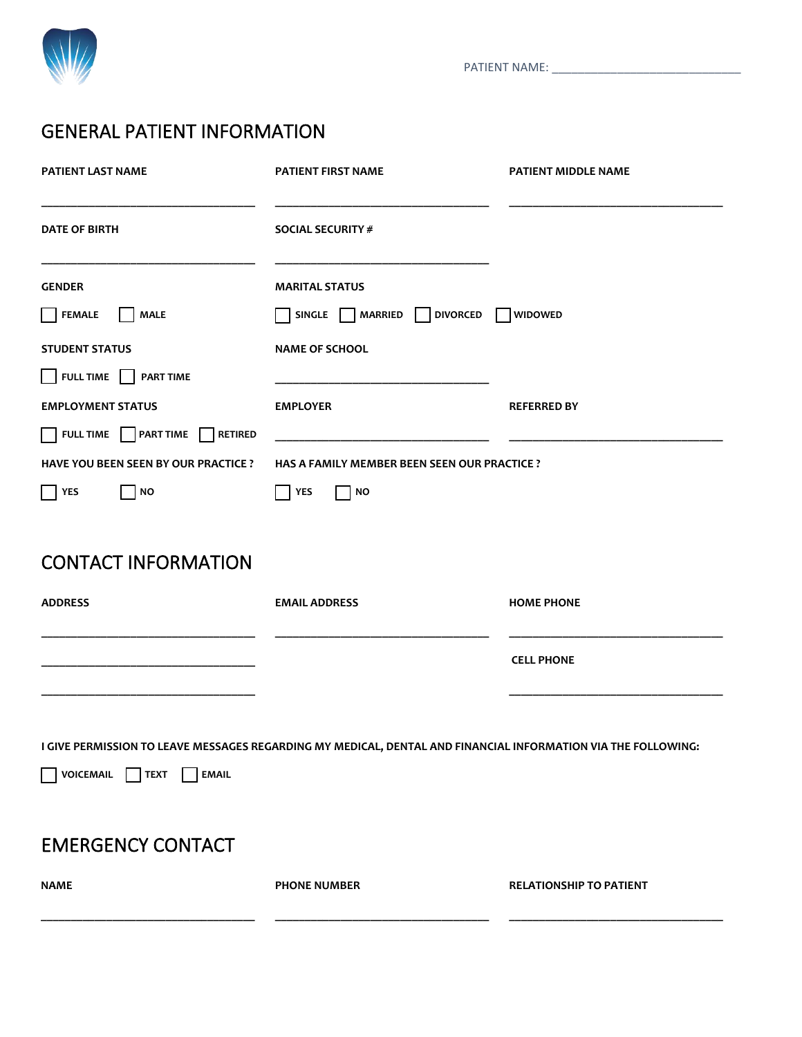

PATIENT NAME: \_\_\_\_\_\_\_\_\_\_\_\_\_\_\_\_\_\_\_\_\_\_\_\_\_\_\_\_\_

# GENERAL PATIENT INFORMATION

| <b>PATIENT LAST NAME</b>                                 | <b>PATIENT FIRST NAME</b>                                                                                     | <b>PATIENT MIDDLE NAME</b>     |
|----------------------------------------------------------|---------------------------------------------------------------------------------------------------------------|--------------------------------|
| <b>DATE OF BIRTH</b>                                     | SOCIAL SECURITY #                                                                                             |                                |
| <b>GENDER</b>                                            | <b>MARITAL STATUS</b>                                                                                         |                                |
| <b>FEMALE</b><br><b>MALE</b>                             | <b>DIVORCED</b><br>SINGLE<br>MARRIED                                                                          | <b>WIDOWED</b>                 |
| <b>STUDENT STATUS</b>                                    | <b>NAME OF SCHOOL</b>                                                                                         |                                |
| FULL TIME PART TIME                                      |                                                                                                               |                                |
| <b>EMPLOYMENT STATUS</b>                                 | <b>EMPLOYER</b>                                                                                               | <b>REFERRED BY</b>             |
| FULL TIME PART TIME<br><b>RETIRED</b>                    |                                                                                                               |                                |
| <b>HAVE YOU BEEN SEEN BY OUR PRACTICE ?</b>              | HAS A FAMILY MEMBER BEEN SEEN OUR PRACTICE ?                                                                  |                                |
| <b>NO</b><br>YES                                         | <b>NO</b><br>YES                                                                                              |                                |
|                                                          |                                                                                                               |                                |
| <b>CONTACT INFORMATION</b>                               |                                                                                                               |                                |
| <b>ADDRESS</b>                                           | <b>EMAIL ADDRESS</b>                                                                                          | <b>HOME PHONE</b>              |
|                                                          |                                                                                                               | <b>CELL PHONE</b>              |
|                                                          |                                                                                                               |                                |
|                                                          | I GIVE PERMISSION TO LEAVE MESSAGES REGARDING MY MEDICAL, DENTAL AND FINANCIAL INFORMATION VIA THE FOLLOWING: |                                |
| <b>TEXT</b><br>VOICEMAIL<br><b>EMAIL</b><br>$\mathbf{1}$ |                                                                                                               |                                |
| <b>EMERGENCY CONTACT</b>                                 |                                                                                                               |                                |
| <b>NAME</b>                                              | <b>PHONE NUMBER</b>                                                                                           | <b>RELATIONSHIP TO PATIENT</b> |
|                                                          |                                                                                                               |                                |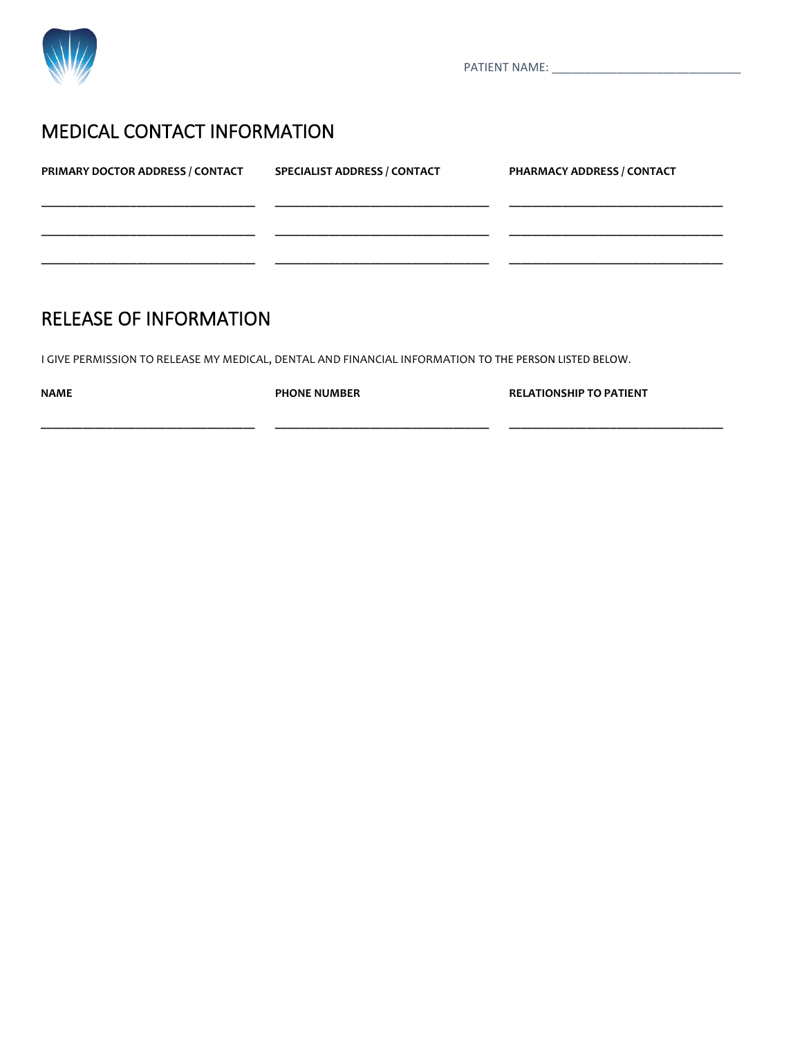

PATIENT NAME: \_\_\_\_\_\_\_\_\_\_\_\_\_\_\_\_\_\_\_\_\_\_\_\_\_\_\_\_\_

### MEDICAL CONTACT INFORMATION

| PRIMARY DOCTOR ADDRESS / CONTACT | <b>SPECIALIST ADDRESS / CONTACT</b> | PHARMACY ADDRESS / CONTACT |
|----------------------------------|-------------------------------------|----------------------------|
|                                  |                                     |                            |
|                                  |                                     |                            |
|                                  |                                     |                            |

**\_\_\_\_\_\_\_\_\_\_\_\_\_\_\_\_\_\_\_\_\_\_\_\_\_\_\_\_\_\_\_\_\_\_\_\_**

## RELEASE OF INFORMATION

**\_\_\_\_\_\_\_\_\_\_\_\_\_\_\_\_\_\_\_\_\_\_\_\_\_\_\_\_\_\_\_\_\_\_\_\_**

I GIVE PERMISSION TO RELEASE MY MEDICAL, DENTAL AND FINANCIAL INFORMATION TO THE PERSON LISTED BELOW.

**NAME**

**PHONE NUMBER**

**RELATIONSHIP TO PATIENT**

**\_\_\_\_\_\_\_\_\_\_\_\_\_\_\_\_\_\_\_\_\_\_\_\_\_\_\_\_\_\_\_\_\_\_\_\_**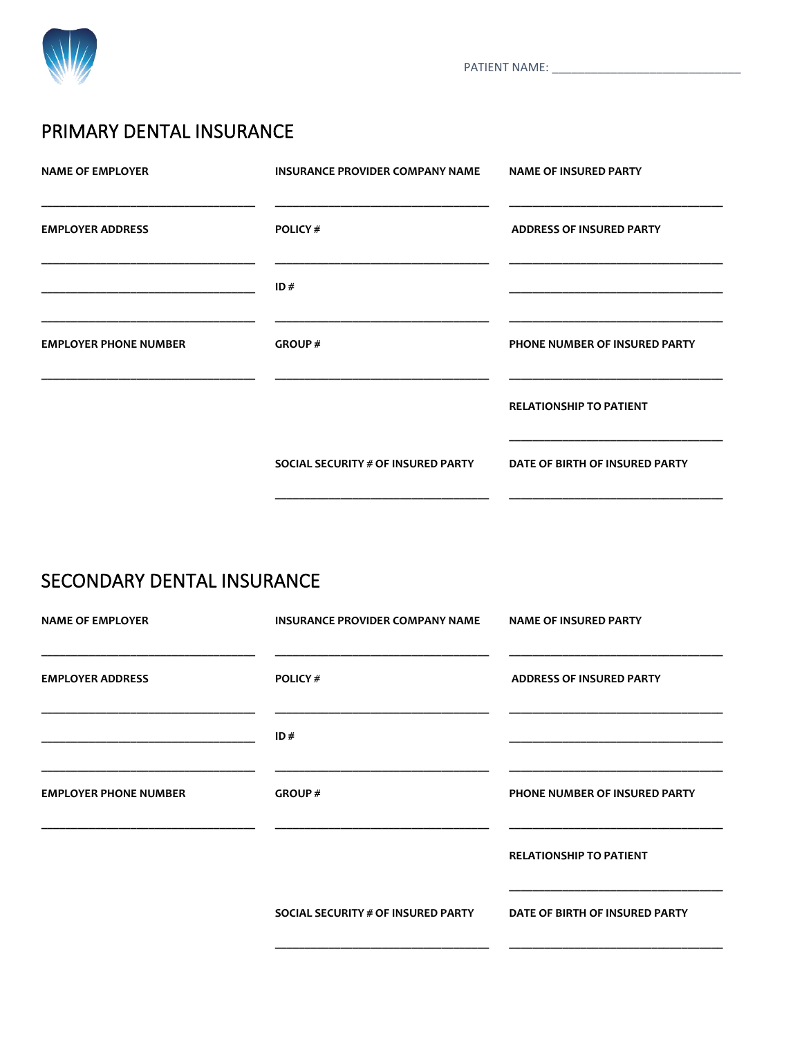

## PRIMARY DENTAL INSURANCE

| <b>NAME OF EMPLOYER</b>      | INSURANCE PROVIDER COMPANY NAME    | <b>NAME OF INSURED PARTY</b>    |
|------------------------------|------------------------------------|---------------------------------|
| <b>EMPLOYER ADDRESS</b>      | <b>POLICY#</b>                     | <b>ADDRESS OF INSURED PARTY</b> |
|                              | ID#                                |                                 |
| <b>EMPLOYER PHONE NUMBER</b> | GROUP#                             | PHONE NUMBER OF INSURED PARTY   |
|                              |                                    | <b>RELATIONSHIP TO PATIENT</b>  |
|                              | SOCIAL SECURITY # OF INSURED PARTY | DATE OF BIRTH OF INSURED PARTY  |
|                              |                                    |                                 |

# SECONDARY DENTAL INSURANCE

| <b>NAME OF EMPLOYER</b>      | <b>INSURANCE PROVIDER COMPANY NAME</b> | <b>NAME OF INSURED PARTY</b>    |
|------------------------------|----------------------------------------|---------------------------------|
| <b>EMPLOYER ADDRESS</b>      | <b>POLICY#</b>                         | <b>ADDRESS OF INSURED PARTY</b> |
|                              | ID#                                    |                                 |
| <b>EMPLOYER PHONE NUMBER</b> | <b>GROUP#</b>                          | PHONE NUMBER OF INSURED PARTY   |
|                              |                                        | <b>RELATIONSHIP TO PATIENT</b>  |
|                              | SOCIAL SECURITY # OF INSURED PARTY     | DATE OF BIRTH OF INSURED PARTY  |
|                              |                                        |                                 |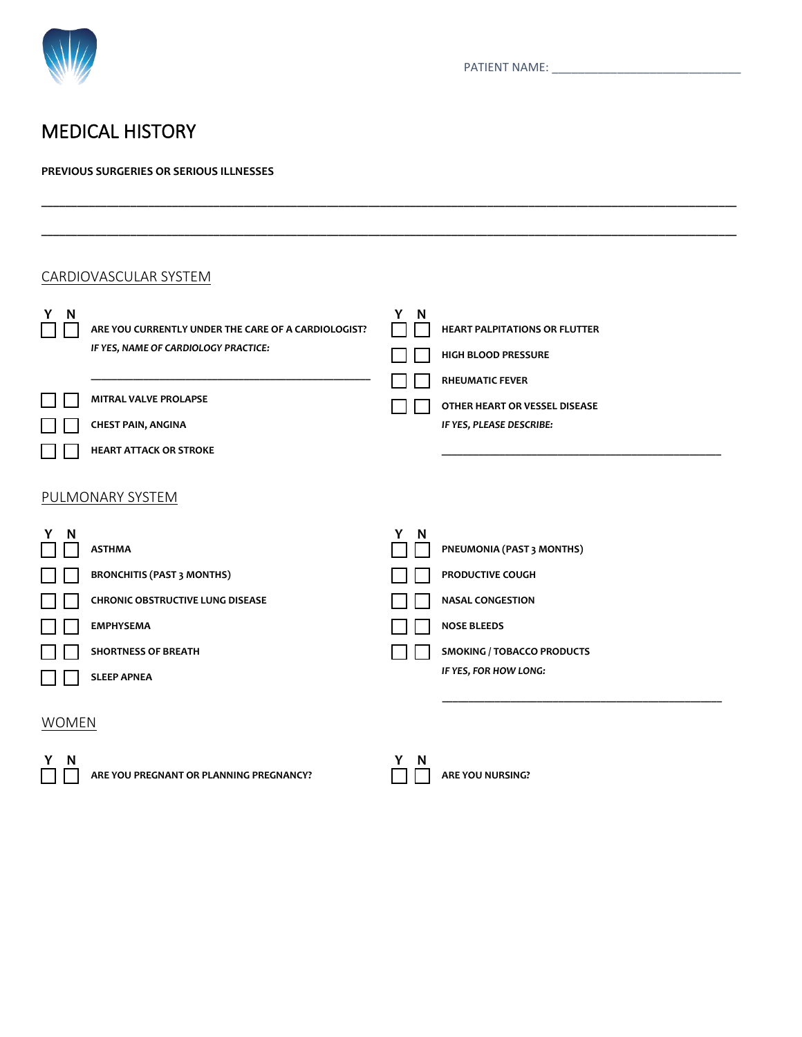

## MEDICAL HISTORY

#### **PREVIOUS SURGERIES OR SERIOUS ILLNESSES**

|        | CARDIOVASCULAR SYSTEM                                                                                                                           |        |                                                                                                                                     |
|--------|-------------------------------------------------------------------------------------------------------------------------------------------------|--------|-------------------------------------------------------------------------------------------------------------------------------------|
| N<br>Y | ARE YOU CURRENTLY UNDER THE CARE OF A CARDIOLOGIST?<br>IF YES, NAME OF CARDIOLOGY PRACTICE:                                                     | Y<br>N | <b>HEART PALPITATIONS OR FLUTTER</b><br>HIGH BLOOD PRESSURE                                                                         |
|        | MITRAL VALVE PROLAPSE<br><b>CHEST PAIN, ANGINA</b>                                                                                              |        | <b>RHEUMATIC FEVER</b><br>OTHER HEART OR VESSEL DISEASE<br>IF YES, PLEASE DESCRIBE:                                                 |
|        | <b>HEART ATTACK OR STROKE</b>                                                                                                                   |        |                                                                                                                                     |
|        | PULMONARY SYSTEM                                                                                                                                |        |                                                                                                                                     |
| Y<br>N | <b>ASTHMA</b><br><b>BRONCHITIS (PAST 3 MONTHS)</b><br><b>CHRONIC OBSTRUCTIVE LUNG DISEASE</b><br><b>EMPHYSEMA</b><br><b>SHORTNESS OF BREATH</b> | Y<br>N | PNEUMONIA (PAST 3 MONTHS)<br>PRODUCTIVE COUGH<br><b>NASAL CONGESTION</b><br><b>NOSE BLEEDS</b><br><b>SMOKING / TOBACCO PRODUCTS</b> |
|        | <b>SLEEP APNEA</b>                                                                                                                              |        | IF YES, FOR HOW LONG:                                                                                                               |

**\_\_\_\_\_\_\_\_\_\_\_\_\_\_\_\_\_\_\_\_\_\_\_\_\_\_\_\_\_\_\_\_\_\_\_\_\_\_\_\_\_\_\_\_\_\_\_\_\_\_\_\_\_\_\_\_\_\_\_\_\_\_\_\_\_\_\_\_\_\_\_\_\_\_\_\_\_\_\_\_\_\_\_\_\_\_\_\_\_\_\_\_\_\_\_\_\_\_\_\_\_\_\_\_\_\_\_\_\_\_\_\_\_\_\_\_\_**

**\_\_\_\_\_\_\_\_\_\_\_\_\_\_\_\_\_\_\_\_\_\_\_\_\_\_\_\_\_\_\_\_\_\_\_\_\_\_\_\_\_\_\_\_\_\_\_\_\_\_\_\_\_\_\_\_\_\_\_\_\_\_\_\_\_\_\_\_\_\_\_\_\_\_\_\_\_\_\_\_\_\_\_\_\_\_\_\_\_\_\_\_\_\_\_\_\_\_\_\_\_\_\_\_\_\_\_\_\_\_\_\_\_\_\_\_\_**

### **WOMEN**



|  | <b>ARE YOU NURSIN</b> |
|--|-----------------------|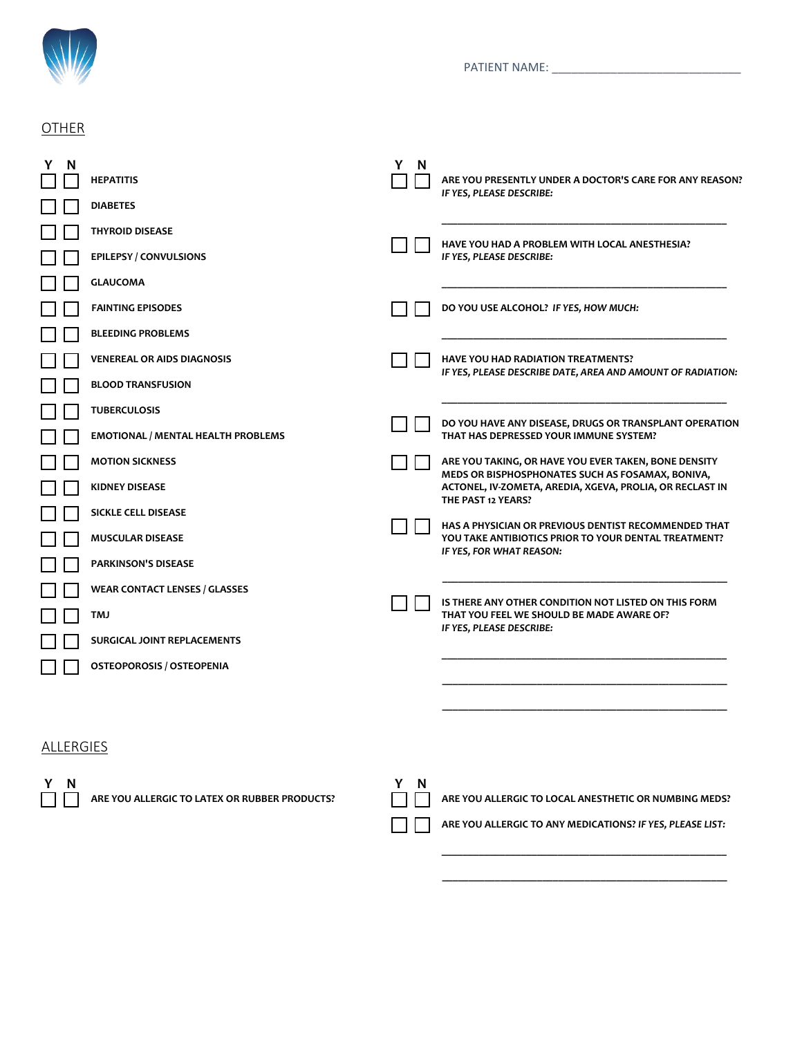

### **OTHER**

| N         | <b>HEPATITIS</b>                              | Y<br>N | ARE YOU PRESENTLY UNDER A DOCTOR'S CARE FOR ANY REASON?                                                                            |
|-----------|-----------------------------------------------|--------|------------------------------------------------------------------------------------------------------------------------------------|
|           | <b>DIABETES</b>                               |        | IF YES, PLEASE DESCRIBE:                                                                                                           |
|           | <b>THYROID DISEASE</b>                        |        |                                                                                                                                    |
|           | <b>EPILEPSY / CONVULSIONS</b>                 |        | HAVE YOU HAD A PROBLEM WITH LOCAL ANESTHESIA?<br>IF YES, PLEASE DESCRIBE:                                                          |
|           | <b>GLAUCOMA</b>                               |        |                                                                                                                                    |
|           | <b>FAINTING EPISODES</b>                      |        | DO YOU USE ALCOHOL? IF YES, HOW MUCH:                                                                                              |
|           | <b>BLEEDING PROBLEMS</b>                      |        |                                                                                                                                    |
|           | <b>VENEREAL OR AIDS DIAGNOSIS</b>             |        | HAVE YOU HAD RADIATION TREATMENTS?                                                                                                 |
|           | <b>BLOOD TRANSFUSION</b>                      |        | IF YES, PLEASE DESCRIBE DATE, AREA AND AMOUNT OF RADIATION:                                                                        |
|           | <b>TUBERCULOSIS</b>                           |        |                                                                                                                                    |
|           | <b>EMOTIONAL / MENTAL HEALTH PROBLEMS</b>     |        | DO YOU HAVE ANY DISEASE, DRUGS OR TRANSPLANT OPERATION<br>THAT HAS DEPRESSED YOUR IMMUNE SYSTEM?                                   |
|           | <b>MOTION SICKNESS</b>                        |        | ARE YOU TAKING, OR HAVE YOU EVER TAKEN, BONE DENSITY                                                                               |
|           | <b>KIDNEY DISEASE</b>                         |        | MEDS OR BISPHOSPHONATES SUCH AS FOSAMAX, BONIVA,<br>ACTONEL, IV-ZOMETA, AREDIA, XGEVA, PROLIA, OR RECLAST IN<br>THE PAST 12 YEARS? |
|           | <b>SICKLE CELL DISEASE</b>                    |        |                                                                                                                                    |
|           | <b>MUSCULAR DISEASE</b>                       |        | <b>HAS A PHYSICIAN OR PREVIOUS DENTIST RECOMMENDED THAT</b><br>YOU TAKE ANTIBIOTICS PRIOR TO YOUR DENTAL TREATMENT?                |
|           | <b>PARKINSON'S DISEASE</b>                    |        | IF YES, FOR WHAT REASON:                                                                                                           |
|           | <b>WEAR CONTACT LENSES / GLASSES</b>          |        |                                                                                                                                    |
|           | TMJ                                           |        | IS THERE ANY OTHER CONDITION NOT LISTED ON THIS FORM<br>THAT YOU FEEL WE SHOULD BE MADE AWARE OF?                                  |
|           | SURGICAL JOINT REPLACEMENTS                   |        | IF YES, PLEASE DESCRIBE:                                                                                                           |
|           | <b>OSTEOPOROSIS / OSTEOPENIA</b>              |        |                                                                                                                                    |
|           |                                               |        |                                                                                                                                    |
|           |                                               |        |                                                                                                                                    |
| ALLERGIES |                                               |        |                                                                                                                                    |
| Y<br>N    | ARE YOU ALLERGIC TO LATEX OR RUBBER PRODUCTS? | Y<br>N | ARE YOU ALLERGIC TO LOCAL ANESTHETIC OR NUMBING MEDS?                                                                              |

 **ARE YOU ALLERGIC TO ANY MEDICATIONS?** *IF YES, PLEASE LIST:*

 **\_\_\_\_\_\_\_\_\_\_\_\_\_\_\_\_\_\_\_\_\_\_\_\_\_\_\_\_\_\_\_\_\_\_\_\_\_\_\_\_\_\_\_\_\_\_\_\_\_\_\_\_\_\_**

 **\_\_\_\_\_\_\_\_\_\_\_\_\_\_\_\_\_\_\_\_\_\_\_\_\_\_\_\_\_\_\_\_\_\_\_\_\_\_\_\_\_\_\_\_\_\_\_\_\_\_\_\_\_\_**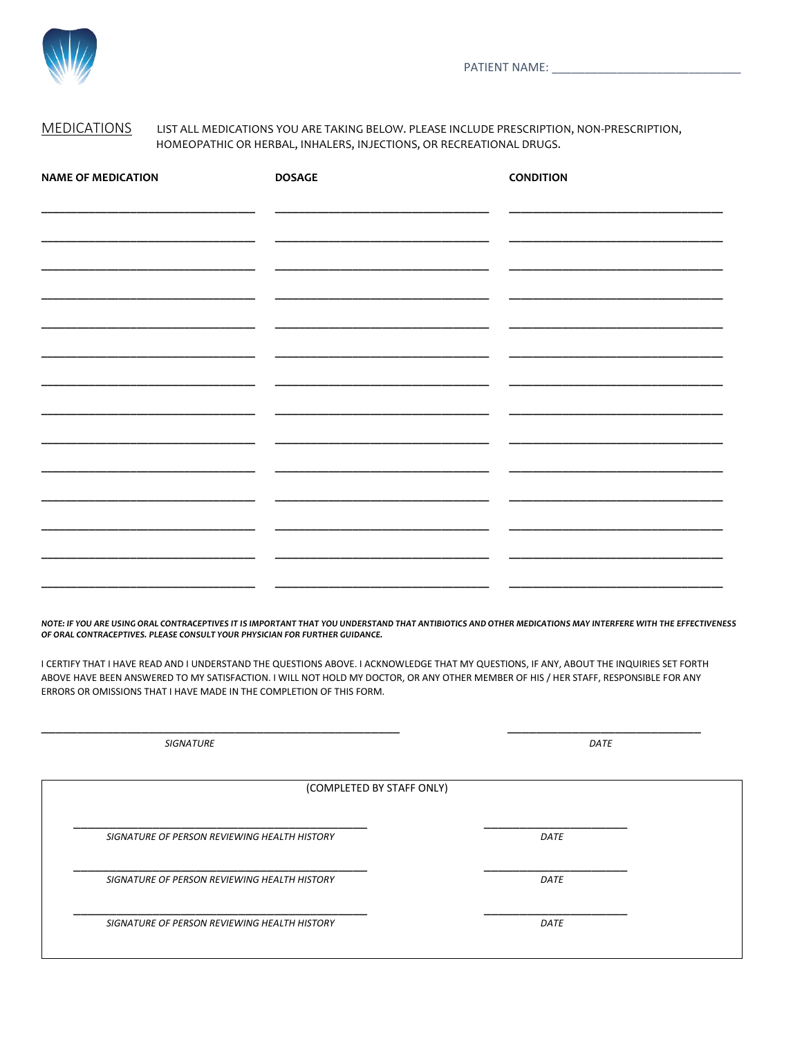

### MEDICATIONS LIST ALL MEDICATIONS YOU ARE TAKING BELOW. PLEASE INCLUDE PRESCRIPTION, NON-PRESCRIPTION, HOMEOPATHIC OR HERBAL, INHALERS, INJECTIONS, OR RECREATIONAL DRUGS.

| <b>NAME OF MEDICATION</b> | <b>DOSAGE</b> | <b>CONDITION</b> |
|---------------------------|---------------|------------------|
|                           |               |                  |
|                           |               |                  |
|                           |               |                  |
|                           |               |                  |
|                           |               |                  |
|                           |               |                  |
|                           |               |                  |
|                           |               |                  |
|                           |               |                  |
|                           |               |                  |
|                           |               |                  |
|                           |               |                  |
|                           |               |                  |
|                           |               |                  |

*NOTE: IF YOU ARE USING ORAL CONTRACEPTIVES IT IS IMPORTANT THAT YOU UNDERSTAND THAT ANTIBIOTICS AND OTHER MEDICATIONS MAY INTERFERE WITH THE EFFECTIVENESS OF ORAL CONTRACEPTIVES. PLEASE CONSULT YOUR PHYSICIAN FOR FURTHER GUIDANCE.*

I CERTIFY THAT I HAVE READ AND I UNDERSTAND THE QUESTIONS ABOVE. I ACKNOWLEDGE THAT MY QUESTIONS, IF ANY, ABOUT THE INQUIRIES SET FORTH ABOVE HAVE BEEN ANSWERED TO MY SATISFACTION. I WILL NOT HOLD MY DOCTOR, OR ANY OTHER MEMBER OF HIS / HER STAFF, RESPONSIBLE FOR ANY ERRORS OR OMISSIONS THAT I HAVE MADE IN THE COMPLETION OF THIS FORM.

| <b>SIGNATURE</b>                             | DATE |
|----------------------------------------------|------|
| (COMPLETED BY STAFF ONLY)                    |      |
| SIGNATURE OF PERSON REVIEWING HEALTH HISTORY | DATE |
| SIGNATURE OF PERSON REVIEWING HEALTH HISTORY | DATE |
| SIGNATURE OF PERSON REVIEWING HEALTH HISTORY | DATE |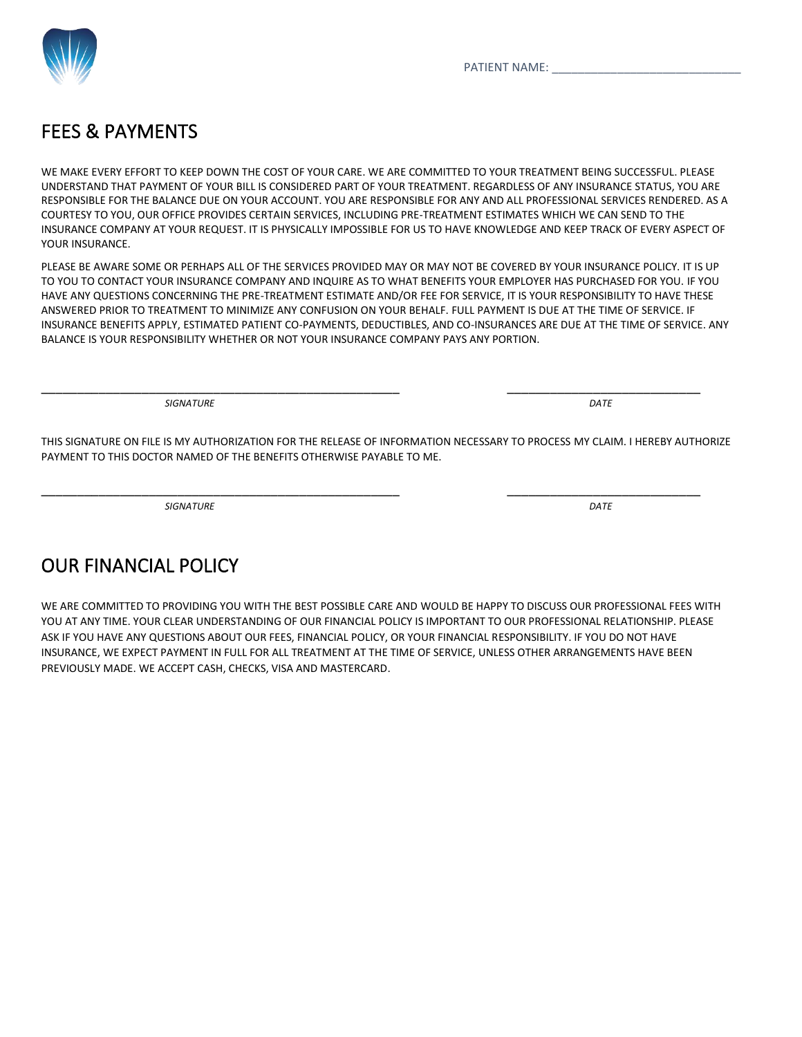

## FEES & PAYMENTS

WE MAKE EVERY EFFORT TO KEEP DOWN THE COST OF YOUR CARE. WE ARE COMMITTED TO YOUR TREATMENT BEING SUCCESSFUL. PLEASE UNDERSTAND THAT PAYMENT OF YOUR BILL IS CONSIDERED PART OF YOUR TREATMENT. REGARDLESS OF ANY INSURANCE STATUS, YOU ARE RESPONSIBLE FOR THE BALANCE DUE ON YOUR ACCOUNT. YOU ARE RESPONSIBLE FOR ANY AND ALL PROFESSIONAL SERVICES RENDERED. AS A COURTESY TO YOU, OUR OFFICE PROVIDES CERTAIN SERVICES, INCLUDING PRE-TREATMENT ESTIMATES WHICH WE CAN SEND TO THE INSURANCE COMPANY AT YOUR REQUEST. IT IS PHYSICALLY IMPOSSIBLE FOR US TO HAVE KNOWLEDGE AND KEEP TRACK OF EVERY ASPECT OF YOUR INSURANCE.

PLEASE BE AWARE SOME OR PERHAPS ALL OF THE SERVICES PROVIDED MAY OR MAY NOT BE COVERED BY YOUR INSURANCE POLICY. IT IS UP TO YOU TO CONTACT YOUR INSURANCE COMPANY AND INQUIRE AS TO WHAT BENEFITS YOUR EMPLOYER HAS PURCHASED FOR YOU. IF YOU HAVE ANY QUESTIONS CONCERNING THE PRE-TREATMENT ESTIMATE AND/OR FEE FOR SERVICE, IT IS YOUR RESPONSIBILITY TO HAVE THESE ANSWERED PRIOR TO TREATMENT TO MINIMIZE ANY CONFUSION ON YOUR BEHALF. FULL PAYMENT IS DUE AT THE TIME OF SERVICE. IF INSURANCE BENEFITS APPLY, ESTIMATED PATIENT CO-PAYMENTS, DEDUCTIBLES, AND CO-INSURANCES ARE DUE AT THE TIME OF SERVICE. ANY BALANCE IS YOUR RESPONSIBILITY WHETHER OR NOT YOUR INSURANCE COMPANY PAYS ANY PORTION.

*SIGNATURE DATE*

THIS SIGNATURE ON FILE IS MY AUTHORIZATION FOR THE RELEASE OF INFORMATION NECESSARY TO PROCESS MY CLAIM. I HEREBY AUTHORIZE PAYMENT TO THIS DOCTOR NAMED OF THE BENEFITS OTHERWISE PAYABLE TO ME.

\_\_\_\_\_\_\_\_\_\_\_\_\_\_\_\_\_\_\_\_\_\_\_\_\_\_\_\_\_\_\_\_\_\_\_\_\_\_\_\_\_\_\_\_\_\_\_\_\_\_ \_\_\_\_\_\_\_\_\_\_\_\_\_\_\_\_\_\_\_\_\_\_\_\_\_\_\_

\_\_\_\_\_\_\_\_\_\_\_\_\_\_\_\_\_\_\_\_\_\_\_\_\_\_\_\_\_\_\_\_\_\_\_\_\_\_\_\_\_\_\_\_\_\_\_\_\_\_ \_\_\_\_\_\_\_\_\_\_\_\_\_\_\_\_\_\_\_\_\_\_\_\_\_\_\_

*SIGNATURE DATE*

## OUR FINANCIAL POLICY

WE ARE COMMITTED TO PROVIDING YOU WITH THE BEST POSSIBLE CARE AND WOULD BE HAPPY TO DISCUSS OUR PROFESSIONAL FEES WITH YOU AT ANY TIME. YOUR CLEAR UNDERSTANDING OF OUR FINANCIAL POLICY IS IMPORTANT TO OUR PROFESSIONAL RELATIONSHIP. PLEASE ASK IF YOU HAVE ANY QUESTIONS ABOUT OUR FEES, FINANCIAL POLICY, OR YOUR FINANCIAL RESPONSIBILITY. IF YOU DO NOT HAVE INSURANCE, WE EXPECT PAYMENT IN FULL FOR ALL TREATMENT AT THE TIME OF SERVICE, UNLESS OTHER ARRANGEMENTS HAVE BEEN PREVIOUSLY MADE. WE ACCEPT CASH, CHECKS, VISA AND MASTERCARD.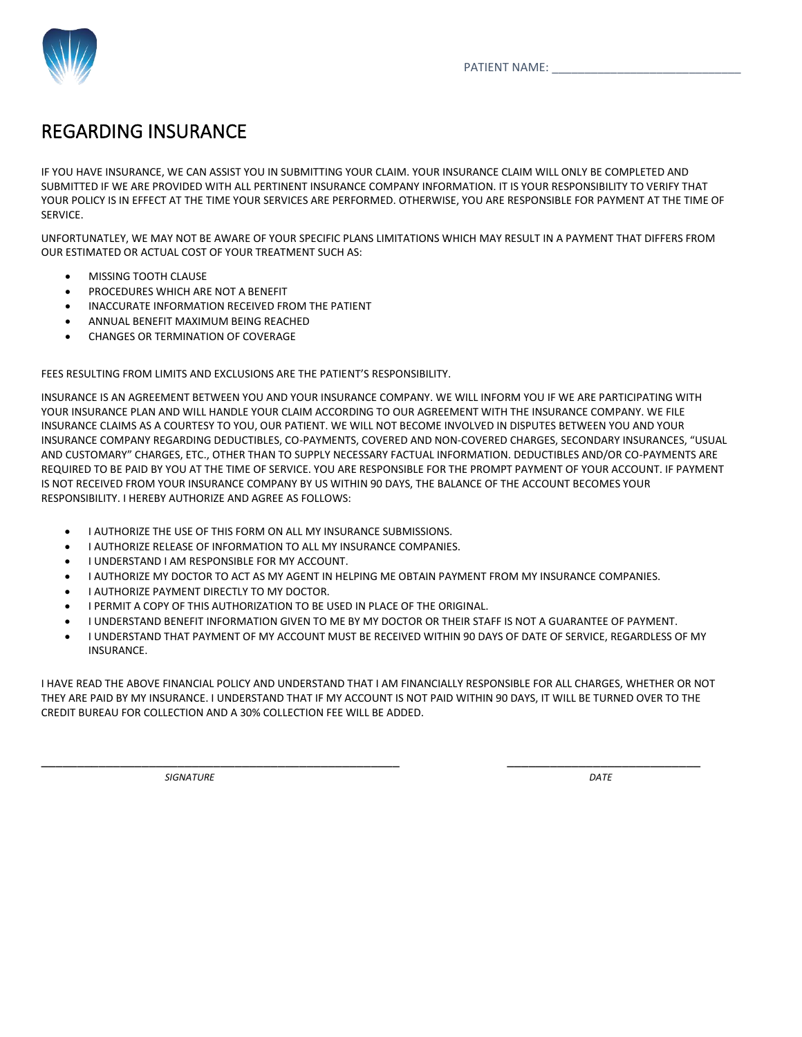

### REGARDING INSURANCE

IF YOU HAVE INSURANCE, WE CAN ASSIST YOU IN SUBMITTING YOUR CLAIM. YOUR INSURANCE CLAIM WILL ONLY BE COMPLETED AND SUBMITTED IF WE ARE PROVIDED WITH ALL PERTINENT INSURANCE COMPANY INFORMATION. IT IS YOUR RESPONSIBILITY TO VERIFY THAT YOUR POLICY IS IN EFFECT AT THE TIME YOUR SERVICES ARE PERFORMED. OTHERWISE, YOU ARE RESPONSIBLE FOR PAYMENT AT THE TIME OF SERVICE.

UNFORTUNATLEY, WE MAY NOT BE AWARE OF YOUR SPECIFIC PLANS LIMITATIONS WHICH MAY RESULT IN A PAYMENT THAT DIFFERS FROM OUR ESTIMATED OR ACTUAL COST OF YOUR TREATMENT SUCH AS:

- MISSING TOOTH CLAUSE
- PROCEDURES WHICH ARE NOT A BENEFIT
- INACCURATE INFORMATION RECEIVED FROM THE PATIENT
- ANNUAL BENEFIT MAXIMUM BEING REACHED
- CHANGES OR TERMINATION OF COVERAGE

FEES RESULTING FROM LIMITS AND EXCLUSIONS ARE THE PATIENT'S RESPONSIBILITY.

INSURANCE IS AN AGREEMENT BETWEEN YOU AND YOUR INSURANCE COMPANY. WE WILL INFORM YOU IF WE ARE PARTICIPATING WITH YOUR INSURANCE PLAN AND WILL HANDLE YOUR CLAIM ACCORDING TO OUR AGREEMENT WITH THE INSURANCE COMPANY. WE FILE INSURANCE CLAIMS AS A COURTESY TO YOU, OUR PATIENT. WE WILL NOT BECOME INVOLVED IN DISPUTES BETWEEN YOU AND YOUR INSURANCE COMPANY REGARDING DEDUCTIBLES, CO-PAYMENTS, COVERED AND NON-COVERED CHARGES, SECONDARY INSURANCES, "USUAL AND CUSTOMARY" CHARGES, ETC., OTHER THAN TO SUPPLY NECESSARY FACTUAL INFORMATION. DEDUCTIBLES AND/OR CO-PAYMENTS ARE REQUIRED TO BE PAID BY YOU AT THE TIME OF SERVICE. YOU ARE RESPONSIBLE FOR THE PROMPT PAYMENT OF YOUR ACCOUNT. IF PAYMENT IS NOT RECEIVED FROM YOUR INSURANCE COMPANY BY US WITHIN 90 DAYS, THE BALANCE OF THE ACCOUNT BECOMES YOUR RESPONSIBILITY. I HEREBY AUTHORIZE AND AGREE AS FOLLOWS:

- I AUTHORIZE THE USE OF THIS FORM ON ALL MY INSURANCE SUBMISSIONS.
- I AUTHORIZE RELEASE OF INFORMATION TO ALL MY INSURANCE COMPANIES.
- I UNDERSTAND I AM RESPONSIBLE FOR MY ACCOUNT.
- I AUTHORIZE MY DOCTOR TO ACT AS MY AGENT IN HELPING ME OBTAIN PAYMENT FROM MY INSURANCE COMPANIES.
- I AUTHORIZE PAYMENT DIRECTLY TO MY DOCTOR.
- I PERMIT A COPY OF THIS AUTHORIZATION TO BE USED IN PLACE OF THE ORIGINAL.
- I UNDERSTAND BENEFIT INFORMATION GIVEN TO ME BY MY DOCTOR OR THEIR STAFF IS NOT A GUARANTEE OF PAYMENT.
- I UNDERSTAND THAT PAYMENT OF MY ACCOUNT MUST BE RECEIVED WITHIN 90 DAYS OF DATE OF SERVICE, REGARDLESS OF MY INSURANCE.

I HAVE READ THE ABOVE FINANCIAL POLICY AND UNDERSTAND THAT I AM FINANCIALLY RESPONSIBLE FOR ALL CHARGES, WHETHER OR NOT THEY ARE PAID BY MY INSURANCE. I UNDERSTAND THAT IF MY ACCOUNT IS NOT PAID WITHIN 90 DAYS, IT WILL BE TURNED OVER TO THE CREDIT BUREAU FOR COLLECTION AND A 30% COLLECTION FEE WILL BE ADDED.

\_\_\_\_\_\_\_\_\_\_\_\_\_\_\_\_\_\_\_\_\_\_\_\_\_\_\_\_\_\_\_\_\_\_\_\_\_\_\_\_\_\_\_\_\_\_\_\_\_\_ \_\_\_\_\_\_\_\_\_\_\_\_\_\_\_\_\_\_\_\_\_\_\_\_\_\_\_

*SIGNATURE DATE*